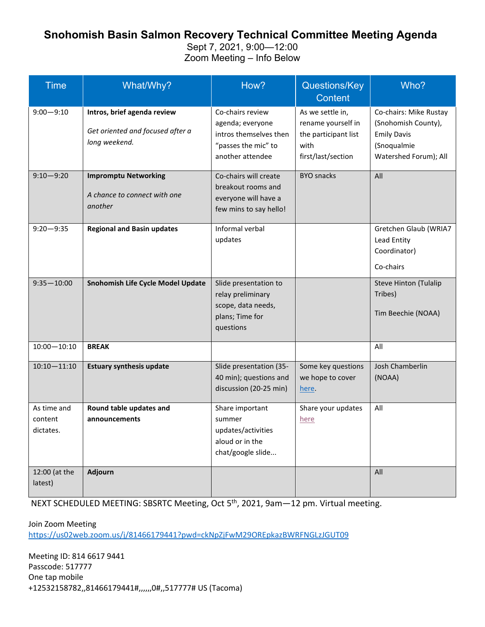## **Snohomish Basin Salmon Recovery Technical Committee Meeting Agenda**

Sept 7, 2021, 9:00—12:00 Zoom Meeting – Info Below

| <b>Time</b>                         | What/Why?                                                                        | How?                                                                                                      | Questions/Key<br><b>Content</b>                                                              | Who?                                                                                                        |
|-------------------------------------|----------------------------------------------------------------------------------|-----------------------------------------------------------------------------------------------------------|----------------------------------------------------------------------------------------------|-------------------------------------------------------------------------------------------------------------|
| $9:00 - 9:10$                       | Intros, brief agenda review<br>Get oriented and focused after a<br>long weekend. | Co-chairs review<br>agenda; everyone<br>intros themselves then<br>"passes the mic" to<br>another attendee | As we settle in,<br>rename yourself in<br>the participant list<br>with<br>first/last/section | Co-chairs: Mike Rustay<br>(Snohomish County),<br><b>Emily Davis</b><br>(Snoqualmie<br>Watershed Forum); All |
| $9:10 - 9:20$                       | <b>Impromptu Networking</b><br>A chance to connect with one<br>another           | Co-chairs will create<br>breakout rooms and<br>everyone will have a<br>few mins to say hello!             | <b>BYO</b> snacks                                                                            | All                                                                                                         |
| $9:20 - 9:35$                       | <b>Regional and Basin updates</b>                                                | Informal verbal<br>updates                                                                                |                                                                                              | Gretchen Glaub (WRIA7<br>Lead Entity<br>Coordinator)<br>Co-chairs                                           |
| $9:35 - 10:00$                      | Snohomish Life Cycle Model Update                                                | Slide presentation to<br>relay preliminary<br>scope, data needs,<br>plans; Time for<br>questions          |                                                                                              | Steve Hinton (Tulalip<br>Tribes)<br>Tim Beechie (NOAA)                                                      |
| $10:00 - 10:10$                     | <b>BREAK</b>                                                                     |                                                                                                           |                                                                                              | All                                                                                                         |
| $10:10 - 11:10$                     | <b>Estuary synthesis update</b>                                                  | Slide presentation (35-<br>40 min); questions and<br>discussion (20-25 min)                               | Some key questions<br>we hope to cover<br>here.                                              | Josh Chamberlin<br>(NOAA)                                                                                   |
| As time and<br>content<br>dictates. | Round table updates and<br>announcements                                         | Share important<br>summer<br>updates/activities<br>aloud or in the<br>chat/google slide                   | Share your updates<br>here                                                                   | All                                                                                                         |
| 12:00 (at the<br>latest)            | Adjourn                                                                          |                                                                                                           |                                                                                              | All                                                                                                         |

NEXT SCHEDULED MEETING: SBSRTC Meeting, Oct 5th, 2021, 9am—12 pm. Virtual meeting.

Join Zoom Meeting

<https://us02web.zoom.us/j/81466179441?pwd=ckNpZjFwM29OREpkazBWRFNGLzJGUT09>

Meeting ID: 814 6617 9441 Passcode: 517777 One tap mobile +12532158782,,81466179441#,,,,,,0#,,517777# US (Tacoma)